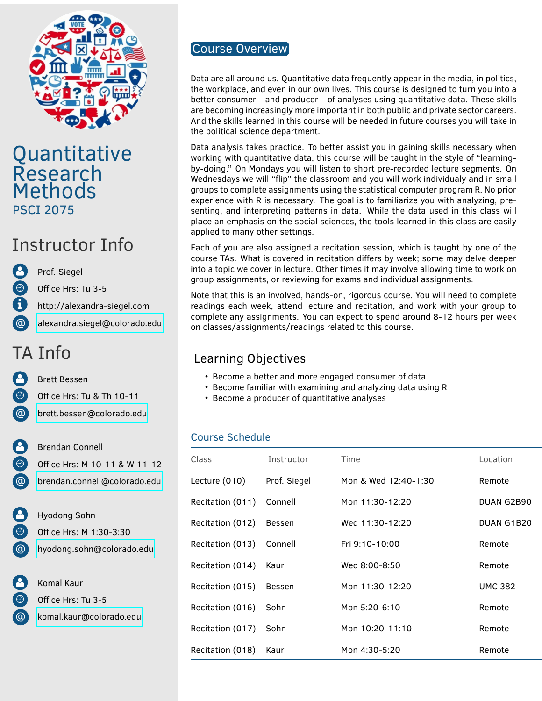

# **Quantitative** Research **Methods** PSCI 2075

# Instructor Info

Prof. Siegel

Office Hrs: Tu 3-5

http://alexandra-siegel.com

@ [alexandra.siegel@colorado.edu](mailto:alexandra.siegel@colorado.edu)

# TA Info

**Brett Bessen** 

Office Hrs: Tu & Th 10-11

@ [brett.bessen@colorado.edu](mailto:brett.bessen@colorado.edu)

Brendan Connell Office Hrs: M 10-11 & W 11-12 @ [brendan.connell@colorado.edu](mailto:brendan.connell@colorado.edu)

Hyodong Sohn Office Hrs: M 1:30-3:30 @ [hyodong.sohn@colorado.edu](mailto:hyodong.sohn@colorado.edu)

Komal Kaur Office Hrs: Tu 3-5 @ [komal.kaur@colorado.edu](mailto:komal.kaur@colorado.edu)

# Course Overview

Data are all around us. Quantitative data frequently appear in the media, in politics, the workplace, and even in our own lives. This course is designed to turn you into a better consumer—and producer—of analyses using quantitative data. These skills are becoming increasingly more important in both public and private sector careers. And the skills learned in this course will be needed in future courses you will take in the political science department.

Data analysis takes practice. To better assist you in gaining skills necessary when working with quantitative data, this course will be taught in the style of "learningby-doing." On Mondays you will listen to short pre-recorded lecture segments. On Wednesdays we will "flip" the classroom and you will work individualy and in small groups to complete assignments using the statistical computer program R. No prior experience with R is necessary. The goal is to familiarize you with analyzing, presenting, and interpreting patterns in data. While the data used in this class will place an emphasis on the social sciences, the tools learned in this class are easily applied to many other settings.

Each of you are also assigned a recitation session, which is taught by one of the course TAs. What is covered in recitation differs by week; some may delve deeper into a topic we cover in lecture. Other times it may involve allowing time to work on group assignments, or reviewing for exams and individual assignments.

Note that this is an involved, hands-on, rigorous course. You will need to complete readings each week, attend lecture and recitation, and work with your group to complete any assignments. You can expect to spend around 8-12 hours per week on classes/assignments/readings related to this course.

# Learning Objectives

- Become a better and more engaged consumer of data
- Become familiar with examining and analyzing data using R
- Become a producer of quantitative analyses

#### Course Schedule

| Class            | Instructor   | Time                 | Location       |
|------------------|--------------|----------------------|----------------|
| Lecture (010)    | Prof. Siegel | Mon & Wed 12:40-1:30 | Remote         |
| Recitation (011) | Connell      | Mon 11:30-12:20      | DUAN G2B90     |
| Recitation (012) | Bessen       | Wed 11:30-12:20      | DUAN G1B20     |
| Recitation (013) | Connell      | Fri 9:10-10:00       | Remote         |
| Recitation (014) | Kaur         | Wed 8:00-8:50        | Remote         |
| Recitation (015) | Bessen       | Mon 11:30-12:20      | <b>UMC 382</b> |
| Recitation (016) | Sohn         | Mon 5:20-6:10        | Remote         |
| Recitation (017) | Sohn         | Mon 10:20-11:10      | Remote         |
| Recitation (018) | Kaur         | Mon 4:30-5:20        | Remote         |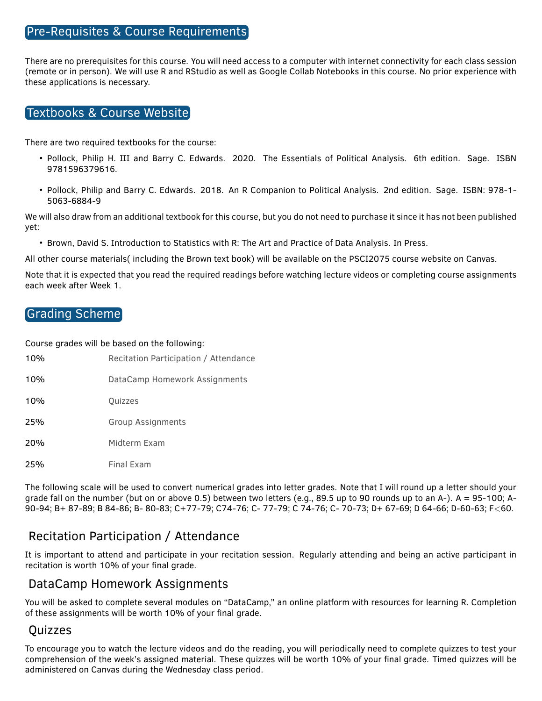#### Pre-Requisites & Course Requirements

There are no prerequisites for this course. You will need access to a computer with internet connectivity for each class session (remote or in person). We will use R and RStudio as well as Google Collab Notebooks in this course. No prior experience with these applications is necessary.

#### Textbooks & Course Website

There are two required textbooks for the course:

- Pollock, Philip H. III and Barry C. Edwards. 2020. The Essentials of Political Analysis. 6th edition. Sage. ISBN 9781596379616.
- Pollock, Philip and Barry C. Edwards. 2018. An R Companion to Political Analysis. 2nd edition. Sage. ISBN: 978-1- 5063-6884-9

We will also draw from an additional textbook for this course, but you do not need to purchase it since it has not been published yet:

• Brown, David S. Introduction to Statistics with R: The Art and Practice of Data Analysis. In Press.

All other course materials( including the Brown text book) will be available on the PSCI2075 course website on Canvas.

Note that it is expected that you read the required readings before watching lecture videos or completing course assignments each week after Week 1.

#### Grading Scheme

Course grades will be based on the following:

| 10% | Recitation Participation / Attendance |  |
|-----|---------------------------------------|--|
| 10% | DataCamp Homework Assignments         |  |
| 10% | <b>Ouizzes</b>                        |  |
| 25% | <b>Group Assignments</b>              |  |
| 20% | Midterm Exam                          |  |
| 25% | Final Exam                            |  |

The following scale will be used to convert numerical grades into letter grades. Note that I will round up a letter should your grade fall on the number (but on or above 0.5) between two letters (e.g., 89.5 up to 90 rounds up to an A-). A = 95-100; A-90-94; B+ 87-89; B 84-86; B- 80-83; C+77-79; C74-76; C- 77-79; C 74-76; C- 70-73; D+ 67-69; D 64-66; D-60-63; F<60.

## Recitation Participation / Attendance

It is important to attend and participate in your recitation session. Regularly attending and being an active participant in recitation is worth 10% of your final grade.

#### DataCamp Homework Assignments

You will be asked to complete several modules on "DataCamp," an online platform with resources for learning R. Completion of these assignments will be worth 10% of your final grade.

## Quizzes

To encourage you to watch the lecture videos and do the reading, you will periodically need to complete quizzes to test your comprehension of the week's assigned material. These quizzes will be worth 10% of your final grade. Timed quizzes will be administered on Canvas during the Wednesday class period.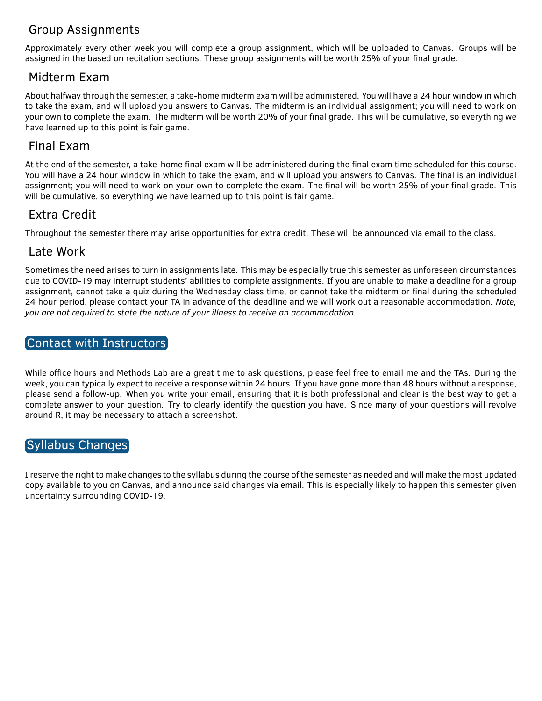# Group Assignments

Approximately every other week you will complete a group assignment, which will be uploaded to Canvas. Groups will be assigned in the based on recitation sections. These group assignments will be worth 25% of your final grade.

#### Midterm Exam

About halfway through the semester, a take-home midterm exam will be administered. You will have a 24 hour window in which to take the exam, and will upload you answers to Canvas. The midterm is an individual assignment; you will need to work on your own to complete the exam. The midterm will be worth 20% of your final grade. This will be cumulative, so everything we have learned up to this point is fair game.

#### Final Exam

At the end of the semester, a take-home final exam will be administered during the final exam time scheduled for this course. You will have a 24 hour window in which to take the exam, and will upload you answers to Canvas. The final is an individual assignment; you will need to work on your own to complete the exam. The final will be worth 25% of your final grade. This will be cumulative, so everything we have learned up to this point is fair game.

## Extra Credit

Throughout the semester there may arise opportunities for extra credit. These will be announced via email to the class.

#### Late Work

Sometimes the need arises to turn in assignments late. This may be especially true this semester as unforeseen circumstances due to COVID-19 may interrupt students' abilities to complete assignments. If you are unable to make a deadline for a group assignment, cannot take a quiz during the Wednesday class time, or cannot take the midterm or final during the scheduled 24 hour period, please contact your TA in advance of the deadline and we will work out a reasonable accommodation. *Note, you are not required to state the nature of your illness to receive an accommodation.*

#### Contact with Instructors

While office hours and Methods Lab are a great time to ask questions, please feel free to email me and the TAs. During the week, you can typically expect to receive a response within 24 hours. If you have gone more than 48 hours without a response, please send a follow-up. When you write your email, ensuring that it is both professional and clear is the best way to get a complete answer to your question. Try to clearly identify the question you have. Since many of your questions will revolve around R, it may be necessary to attach a screenshot.

## Syllabus Changes

I reserve the right to make changes to the syllabus during the course of the semester as needed and will make the most updated copy available to you on Canvas, and announce said changes via email. This is especially likely to happen this semester given uncertainty surrounding COVID-19.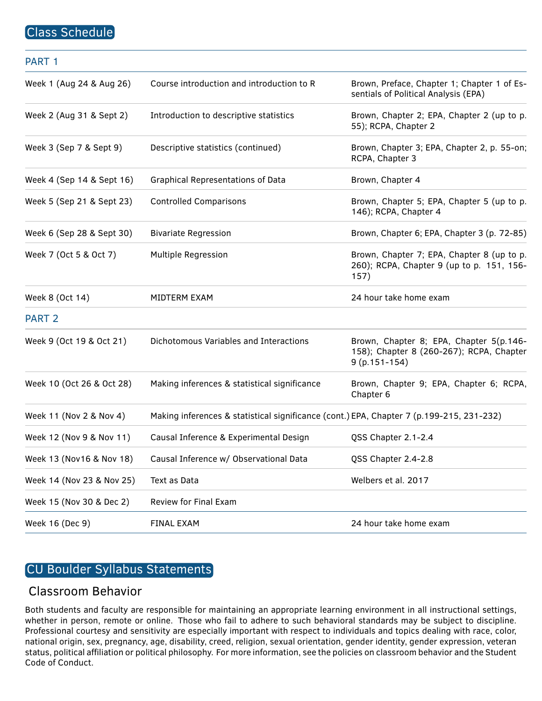#### Class Schedule

| PART 1                    |                                                                                          |                                                                                                          |
|---------------------------|------------------------------------------------------------------------------------------|----------------------------------------------------------------------------------------------------------|
| Week 1 (Aug 24 & Aug 26)  | Course introduction and introduction to R                                                | Brown, Preface, Chapter 1; Chapter 1 of Es-<br>sentials of Political Analysis (EPA)                      |
| Week 2 (Aug 31 & Sept 2)  | Introduction to descriptive statistics                                                   | Brown, Chapter 2; EPA, Chapter 2 (up to p.<br>55); RCPA, Chapter 2                                       |
| Week 3 (Sep 7 & Sept 9)   | Descriptive statistics (continued)                                                       | Brown, Chapter 3; EPA, Chapter 2, p. 55-on;<br>RCPA, Chapter 3                                           |
| Week 4 (Sep 14 & Sept 16) | <b>Graphical Representations of Data</b>                                                 | Brown, Chapter 4                                                                                         |
| Week 5 (Sep 21 & Sept 23) | <b>Controlled Comparisons</b>                                                            | Brown, Chapter 5; EPA, Chapter 5 (up to p.<br>146); RCPA, Chapter 4                                      |
| Week 6 (Sep 28 & Sept 30) | <b>Bivariate Regression</b>                                                              | Brown, Chapter 6; EPA, Chapter 3 (p. 72-85)                                                              |
| Week 7 (Oct 5 & Oct 7)    | <b>Multiple Regression</b>                                                               | Brown, Chapter 7; EPA, Chapter 8 (up to p.<br>260); RCPA, Chapter 9 (up to p. 151, 156-<br>157)          |
| Week 8 (Oct 14)           | MIDTERM EXAM                                                                             | 24 hour take home exam                                                                                   |
| <b>PART 2</b>             |                                                                                          |                                                                                                          |
| Week 9 (Oct 19 & Oct 21)  | Dichotomous Variables and Interactions                                                   | Brown, Chapter 8; EPA, Chapter 5(p.146-<br>158); Chapter 8 (260-267); RCPA, Chapter<br>$9 (p.151 - 154)$ |
| Week 10 (Oct 26 & Oct 28) | Making inferences & statistical significance                                             | Brown, Chapter 9; EPA, Chapter 6; RCPA,<br>Chapter 6                                                     |
| Week 11 (Nov 2 & Nov 4)   | Making inferences & statistical significance (cont.) EPA, Chapter 7 (p.199-215, 231-232) |                                                                                                          |
| Week 12 (Nov 9 & Nov 11)  | Causal Inference & Experimental Design                                                   | QSS Chapter 2.1-2.4                                                                                      |
| Week 13 (Nov16 & Nov 18)  | Causal Inference w/ Observational Data                                                   | QSS Chapter 2.4-2.8                                                                                      |
| Week 14 (Nov 23 & Nov 25) | Text as Data                                                                             | Welbers et al. 2017                                                                                      |
| Week 15 (Nov 30 & Dec 2)  | Review for Final Exam                                                                    |                                                                                                          |
| Week 16 (Dec 9)           | <b>FINAL EXAM</b>                                                                        | 24 hour take home exam                                                                                   |

## CU Boulder Syllabus Statements

#### Classroom Behavior

Both students and faculty are responsible for maintaining an appropriate learning environment in all instructional settings, whether in person, remote or online. Those who fail to adhere to such behavioral standards may be subject to discipline. Professional courtesy and sensitivity are especially important with respect to individuals and topics dealing with race, color, national origin, sex, pregnancy, age, disability, creed, religion, sexual orientation, gender identity, gender expression, veteran status, political affiliation or political philosophy. For more information, see the policies on classroom behavior and the Student Code of Conduct.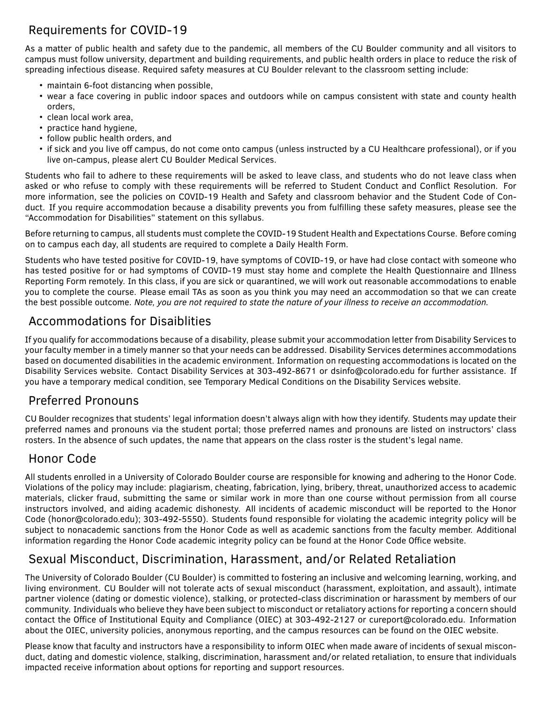# Requirements for COVID-19

As a matter of public health and safety due to the pandemic, all members of the CU Boulder community and all visitors to campus must follow university, department and building requirements, and public health orders in place to reduce the risk of spreading infectious disease. Required safety measures at CU Boulder relevant to the classroom setting include:

- maintain 6-foot distancing when possible,
- wear a face covering in public indoor spaces and outdoors while on campus consistent with state and county health orders,
- clean local work area,
- practice hand hygiene,
- follow public health orders, and
- if sick and you live off campus, do not come onto campus (unless instructed by a CU Healthcare professional), or if you live on-campus, please alert CU Boulder Medical Services.

Students who fail to adhere to these requirements will be asked to leave class, and students who do not leave class when asked or who refuse to comply with these requirements will be referred to Student Conduct and Conflict Resolution. For more information, see the policies on COVID-19 Health and Safety and classroom behavior and the Student Code of Conduct. If you require accommodation because a disability prevents you from fulfilling these safety measures, please see the "Accommodation for Disabilities" statement on this syllabus.

Before returning to campus, all students must complete the COVID-19 Student Health and Expectations Course. Before coming on to campus each day, all students are required to complete a Daily Health Form.

Students who have tested positive for COVID-19, have symptoms of COVID-19, or have had close contact with someone who has tested positive for or had symptoms of COVID-19 must stay home and complete the Health Questionnaire and Illness Reporting Form remotely. In this class, if you are sick or quarantined, we will work out reasonable accommodations to enable you to complete the course. Please email TAs as soon as you think you may need an accommodation so that we can create the best possible outcome. *Note, you are not required to state the nature of your illness to receive an accommodation.*

## Accommodations for Disaiblities

If you qualify for accommodations because of a disability, please submit your accommodation letter from Disability Services to your faculty member in a timely manner so that your needs can be addressed. Disability Services determines accommodations based on documented disabilities in the academic environment. Information on requesting accommodations is located on the Disability Services website. Contact Disability Services at 303-492-8671 or dsinfo@colorado.edu for further assistance. If you have a temporary medical condition, see Temporary Medical Conditions on the Disability Services website.

## Preferred Pronouns

CU Boulder recognizes that students' legal information doesn't always align with how they identify. Students may update their preferred names and pronouns via the student portal; those preferred names and pronouns are listed on instructors' class rosters. In the absence of such updates, the name that appears on the class roster is the student's legal name.

## Honor Code

All students enrolled in a University of Colorado Boulder course are responsible for knowing and adhering to the Honor Code. Violations of the policy may include: plagiarism, cheating, fabrication, lying, bribery, threat, unauthorized access to academic materials, clicker fraud, submitting the same or similar work in more than one course without permission from all course instructors involved, and aiding academic dishonesty. All incidents of academic misconduct will be reported to the Honor Code (honor@colorado.edu); 303-492-5550). Students found responsible for violating the academic integrity policy will be subject to nonacademic sanctions from the Honor Code as well as academic sanctions from the faculty member. Additional information regarding the Honor Code academic integrity policy can be found at the Honor Code Office website.

# Sexual Misconduct, Discrimination, Harassment, and/or Related Retaliation

The University of Colorado Boulder (CU Boulder) is committed to fostering an inclusive and welcoming learning, working, and living environment. CU Boulder will not tolerate acts of sexual misconduct (harassment, exploitation, and assault), intimate partner violence (dating or domestic violence), stalking, or protected-class discrimination or harassment by members of our community. Individuals who believe they have been subject to misconduct or retaliatory actions for reporting a concern should contact the Office of Institutional Equity and Compliance (OIEC) at 303-492-2127 or cureport@colorado.edu. Information about the OIEC, university policies, anonymous reporting, and the campus resources can be found on the OIEC website.

Please know that faculty and instructors have a responsibility to inform OIEC when made aware of incidents of sexual misconduct, dating and domestic violence, stalking, discrimination, harassment and/or related retaliation, to ensure that individuals impacted receive information about options for reporting and support resources.